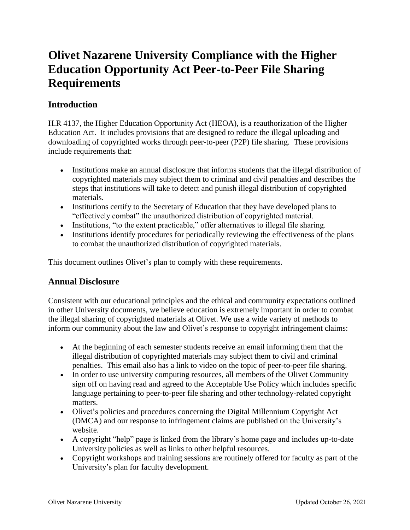# **Olivet Nazarene University Compliance with the Higher Education Opportunity Act Peer-to-Peer File Sharing Requirements**

# **Introduction**

H.R 4137, the Higher Education Opportunity Act (HEOA), is a reauthorization of the Higher Education Act. It includes provisions that are designed to reduce the illegal uploading and downloading of copyrighted works through peer-to-peer (P2P) file sharing. These provisions include requirements that:

- Institutions make an annual disclosure that informs students that the illegal distribution of copyrighted materials may subject them to criminal and civil penalties and describes the steps that institutions will take to detect and punish illegal distribution of copyrighted materials.
- Institutions certify to the Secretary of Education that they have developed plans to "effectively combat" the unauthorized distribution of copyrighted material.
- Institutions, "to the extent practicable," offer alternatives to illegal file sharing.
- Institutions identify procedures for periodically reviewing the effectiveness of the plans to combat the unauthorized distribution of copyrighted materials.

This document outlines Olivet's plan to comply with these requirements.

# **Annual Disclosure**

Consistent with our educational principles and the ethical and community expectations outlined in other University documents, we believe education is extremely important in order to combat the illegal sharing of copyrighted materials at Olivet. We use a wide variety of methods to inform our community about the law and Olivet's response to copyright infringement claims:

- At the beginning of each semester students receive an email informing them that the illegal distribution of copyrighted materials may subject them to civil and criminal penalties. This email also has a link to video on the topic of peer-to-peer file sharing.
- In order to use university computing resources, all members of the Olivet Community sign off on having read and agreed to the Acceptable Use Policy which includes specific language pertaining to peer-to-peer file sharing and other technology-related copyright matters.
- Olivet's policies and procedures concerning the Digital Millennium Copyright Act (DMCA) and our response to infringement claims are published on the University's website.
- A copyright "help" page is linked from the library's home page and includes up-to-date University policies as well as links to other helpful resources.
- Copyright workshops and training sessions are routinely offered for faculty as part of the University's plan for faculty development.